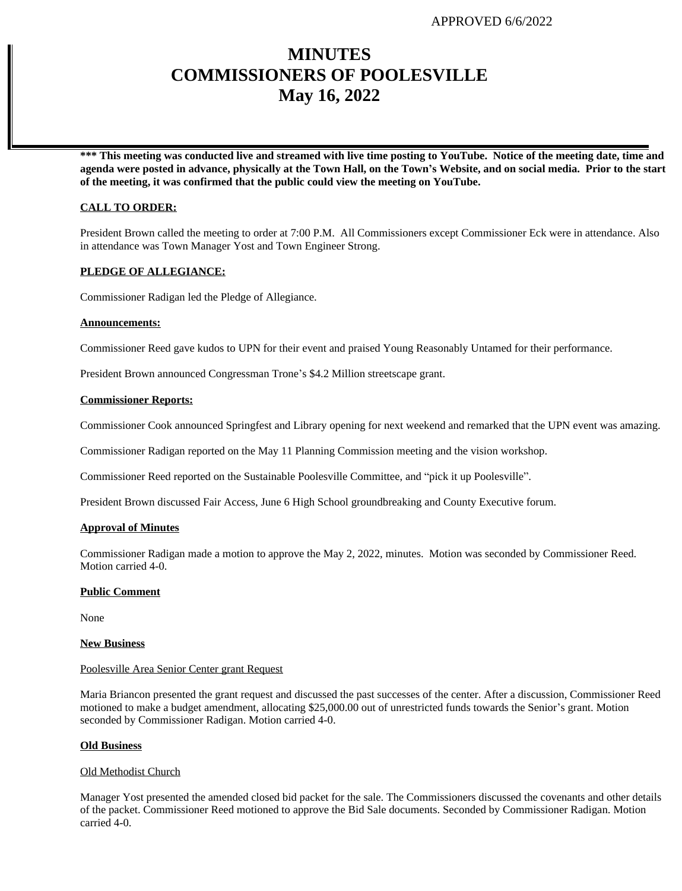# **MINUTES COMMISSIONERS OF POOLESVILLE May 16, 2022**

**\*\*\* This meeting was conducted live and streamed with live time posting to YouTube. Notice of the meeting date, time and agenda were posted in advance, physically at the Town Hall, on the Town's Website, and on social media. Prior to the start of the meeting, it was confirmed that the public could view the meeting on YouTube.**

## **CALL TO ORDER:**

President Brown called the meeting to order at 7:00 P.M. All Commissioners except Commissioner Eck were in attendance. Also in attendance was Town Manager Yost and Town Engineer Strong.

# **PLEDGE OF ALLEGIANCE:**

Commissioner Radigan led the Pledge of Allegiance.

#### **Announcements:**

Commissioner Reed gave kudos to UPN for their event and praised Young Reasonably Untamed for their performance.

President Brown announced Congressman Trone's \$4.2 Million streetscape grant.

### **Commissioner Reports:**

Commissioner Cook announced Springfest and Library opening for next weekend and remarked that the UPN event was amazing.

Commissioner Radigan reported on the May 11 Planning Commission meeting and the vision workshop.

Commissioner Reed reported on the Sustainable Poolesville Committee, and "pick it up Poolesville".

President Brown discussed Fair Access, June 6 High School groundbreaking and County Executive forum.

#### **Approval of Minutes**

Commissioner Radigan made a motion to approve the May 2, 2022, minutes. Motion was seconded by Commissioner Reed. Motion carried 4-0.

# **Public Comment**

None

### **New Business**

#### Poolesville Area Senior Center grant Request

Maria Briancon presented the grant request and discussed the past successes of the center. After a discussion, Commissioner Reed motioned to make a budget amendment, allocating \$25,000.00 out of unrestricted funds towards the Senior's grant. Motion seconded by Commissioner Radigan. Motion carried 4-0.

#### **Old Business**

#### Old Methodist Church

Manager Yost presented the amended closed bid packet for the sale. The Commissioners discussed the covenants and other details of the packet. Commissioner Reed motioned to approve the Bid Sale documents. Seconded by Commissioner Radigan. Motion carried 4-0.